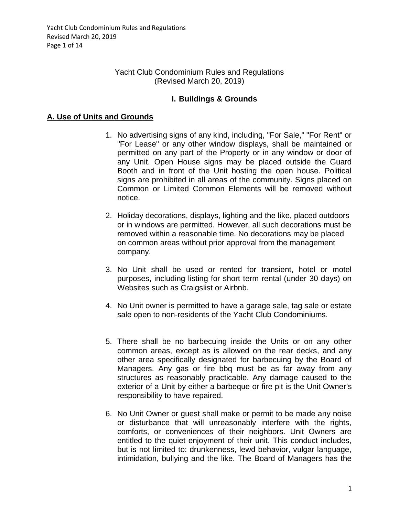## Yacht Club Condominium Rules and Regulations (Revised March 20, 2019)

## **I. Buildings & Grounds**

## **A. Use of Units and Grounds**

- 1. No advertising signs of any kind, including, "For Sale," "For Rent" or "For Lease" or any other window displays, shall be maintained or permitted on any part of the Property or in any window or door of any Unit. Open House signs may be placed outside the Guard Booth and in front of the Unit hosting the open house. Political signs are prohibited in all areas of the community. Signs placed on Common or Limited Common Elements will be removed without notice.
- 2. Holiday decorations, displays, lighting and the like, placed outdoors or in windows are permitted. However, all such decorations must be removed within a reasonable time. No decorations may be placed on common areas without prior approval from the management company.
- 3. No Unit shall be used or rented for transient, hotel or motel purposes, including listing for short term rental (under 30 days) on Websites such as Craigslist or Airbnb.
- 4. No Unit owner is permitted to have a garage sale, tag sale or estate sale open to non-residents of the Yacht Club Condominiums.
- 5. There shall be no barbecuing inside the Units or on any other common areas, except as is allowed on the rear decks, and any other area specifically designated for barbecuing by the Board of Managers. Any gas or fire bbq must be as far away from any structures as reasonably practicable. Any damage caused to the exterior of a Unit by either a barbeque or fire pit is the Unit Owner's responsibility to have repaired.
- 6. No Unit Owner or guest shall make or permit to be made any noise or disturbance that will unreasonably interfere with the rights, comforts, or conveniences of their neighbors. Unit Owners are entitled to the quiet enjoyment of their unit. This conduct includes, but is not limited to: drunkenness, lewd behavior, vulgar language, intimidation, bullying and the like. The Board of Managers has the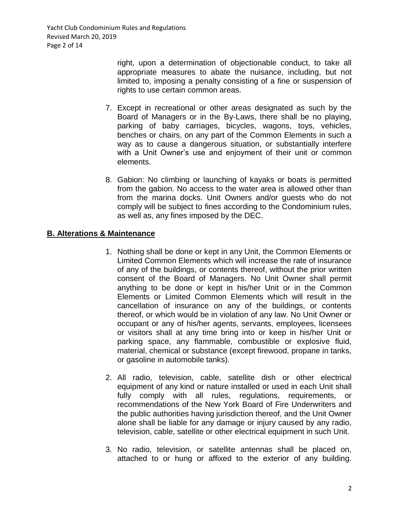Yacht Club Condominium Rules and Regulations Revised March 20, 2019 Page 2 of 14

> right, upon a determination of objectionable conduct, to take all appropriate measures to abate the nuisance, including, but not limited to, imposing a penalty consisting of a fine or suspension of rights to use certain common areas.

- 7. Except in recreational or other areas designated as such by the Board of Managers or in the By-Laws, there shall be no playing, parking of baby carriages, bicycles, wagons, toys, vehicles, benches or chairs, on any part of the Common Elements in such a way as to cause a dangerous situation, or substantially interfere with a Unit Owner's use and enjoyment of their unit or common elements.
- 8. Gabion: No climbing or launching of kayaks or boats is permitted from the gabion. No access to the water area is allowed other than from the marina docks. Unit Owners and/or guests who do not comply will be subject to fines according to the Condominium rules, as well as, any fines imposed by the DEC.

## **B. Alterations & Maintenance**

- 1. Nothing shall be done or kept in any Unit, the Common Elements or Limited Common Elements which will increase the rate of insurance of any of the buildings, or contents thereof, without the prior written consent of the Board of Managers. No Unit Owner shall permit anything to be done or kept in his/her Unit or in the Common Elements or Limited Common Elements which will result in the cancellation of insurance on any of the buildings, or contents thereof, or which would be in violation of any law. No Unit Owner or occupant or any of his/her agents, servants, employees, licensees or visitors shall at any time bring into or keep in his/her Unit or parking space, any flammable, combustible or explosive fluid, material, chemical or substance (except firewood, propane in tanks, or gasoline in automobile tanks).
- 2. All radio, television, cable, satellite dish or other electrical equipment of any kind or nature installed or used in each Unit shall fully comply with all rules, regulations, requirements, or recommendations of the New York Board of Fire Underwriters and the public authorities having jurisdiction thereof, and the Unit Owner alone shall be liable for any damage or injury caused by any radio, television, cable, satellite or other electrical equipment in such Unit.
- 3. No radio, television, or satellite antennas shall be placed on, attached to or hung or affixed to the exterior of any building.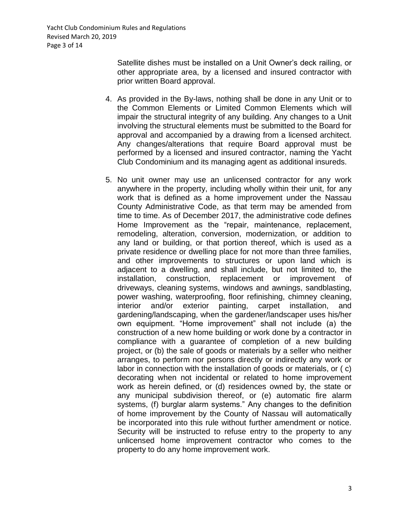Yacht Club Condominium Rules and Regulations Revised March 20, 2019 Page 3 of 14

> Satellite dishes must be installed on a Unit Owner's deck railing, or other appropriate area, by a licensed and insured contractor with prior written Board approval.

- 4. As provided in the By-laws, nothing shall be done in any Unit or to the Common Elements or Limited Common Elements which will impair the structural integrity of any building. Any changes to a Unit involving the structural elements must be submitted to the Board for approval and accompanied by a drawing from a licensed architect. Any changes/alterations that require Board approval must be performed by a licensed and insured contractor, naming the Yacht Club Condominium and its managing agent as additional insureds.
- 5. No unit owner may use an unlicensed contractor for any work anywhere in the property, including wholly within their unit, for any work that is defined as a home improvement under the Nassau County Administrative Code, as that term may be amended from time to time. As of December 2017, the administrative code defines Home Improvement as the "repair, maintenance, replacement, remodeling, alteration, conversion, modernization, or addition to any land or building, or that portion thereof, which is used as a private residence or dwelling place for not more than three families, and other improvements to structures or upon land which is adjacent to a dwelling, and shall include, but not limited to, the installation, construction, replacement or improvement of driveways, cleaning systems, windows and awnings, sandblasting, power washing, waterproofing, floor refinishing, chimney cleaning, interior and/or exterior painting, carpet installation, and gardening/landscaping, when the gardener/landscaper uses his/her own equipment. "Home improvement" shall not include (a) the construction of a new home building or work done by a contractor in compliance with a guarantee of completion of a new building project, or (b) the sale of goods or materials by a seller who neither arranges, to perform nor persons directly or indirectly any work or labor in connection with the installation of goods or materials, or ( c) decorating when not incidental or related to home improvement work as herein defined, or (d) residences owned by, the state or any municipal subdivision thereof, or (e) automatic fire alarm systems, (f) burglar alarm systems." Any changes to the definition of home improvement by the County of Nassau will automatically be incorporated into this rule without further amendment or notice. Security will be instructed to refuse entry to the property to any unlicensed home improvement contractor who comes to the property to do any home improvement work.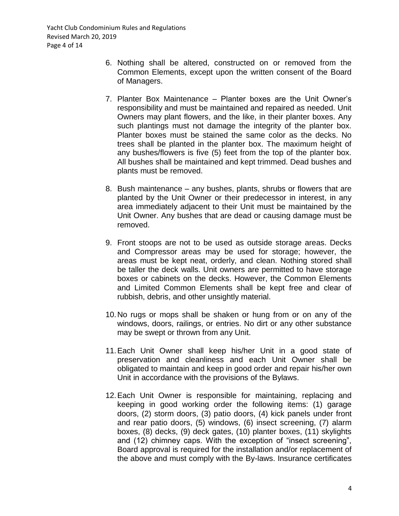Yacht Club Condominium Rules and Regulations Revised March 20, 2019 Page 4 of 14

- 6. Nothing shall be altered, constructed on or removed from the Common Elements, except upon the written consent of the Board of Managers.
- 7. Planter Box Maintenance Planter boxes are the Unit Owner's responsibility and must be maintained and repaired as needed. Unit Owners may plant flowers, and the like, in their planter boxes. Any such plantings must not damage the integrity of the planter box. Planter boxes must be stained the same color as the decks. No trees shall be planted in the planter box. The maximum height of any bushes/flowers is five (5) feet from the top of the planter box. All bushes shall be maintained and kept trimmed. Dead bushes and plants must be removed.
- 8. Bush maintenance any bushes, plants, shrubs or flowers that are planted by the Unit Owner or their predecessor in interest, in any area immediately adjacent to their Unit must be maintained by the Unit Owner. Any bushes that are dead or causing damage must be removed.
- 9. Front stoops are not to be used as outside storage areas. Decks and Compressor areas may be used for storage; however, the areas must be kept neat, orderly, and clean. Nothing stored shall be taller the deck walls. Unit owners are permitted to have storage boxes or cabinets on the decks. However, the Common Elements and Limited Common Elements shall be kept free and clear of rubbish, debris, and other unsightly material.
- 10.No rugs or mops shall be shaken or hung from or on any of the windows, doors, railings, or entries. No dirt or any other substance may be swept or thrown from any Unit.
- 11.Each Unit Owner shall keep his/her Unit in a good state of preservation and cleanliness and each Unit Owner shall be obligated to maintain and keep in good order and repair his/her own Unit in accordance with the provisions of the Bylaws.
- 12.Each Unit Owner is responsible for maintaining, replacing and keeping in good working order the following items: (1) garage doors, (2) storm doors, (3) patio doors, (4) kick panels under front and rear patio doors, (5) windows, (6) insect screening, (7) alarm boxes, (8) decks, (9) deck gates, (10) planter boxes, (11) skylights and (12) chimney caps. With the exception of "insect screening", Board approval is required for the installation and/or replacement of the above and must comply with the By-laws. Insurance certificates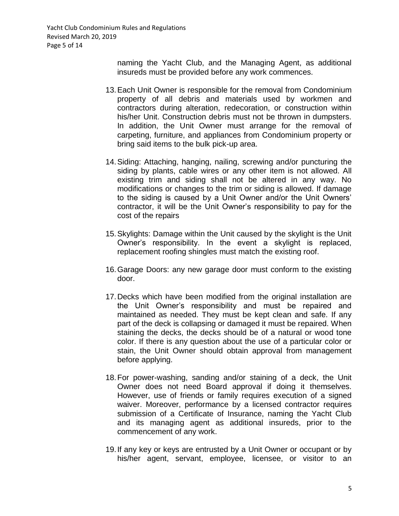Yacht Club Condominium Rules and Regulations Revised March 20, 2019 Page 5 of 14

> naming the Yacht Club, and the Managing Agent, as additional insureds must be provided before any work commences.

- 13.Each Unit Owner is responsible for the removal from Condominium property of all debris and materials used by workmen and contractors during alteration, redecoration, or construction within his/her Unit. Construction debris must not be thrown in dumpsters. In addition, the Unit Owner must arrange for the removal of carpeting, furniture, and appliances from Condominium property or bring said items to the bulk pick-up area.
- 14.Siding: Attaching, hanging, nailing, screwing and/or puncturing the siding by plants, cable wires or any other item is not allowed. All existing trim and siding shall not be altered in any way. No modifications or changes to the trim or siding is allowed. If damage to the siding is caused by a Unit Owner and/or the Unit Owners' contractor, it will be the Unit Owner's responsibility to pay for the cost of the repairs
- 15.Skylights: Damage within the Unit caused by the skylight is the Unit Owner's responsibility. In the event a skylight is replaced, replacement roofing shingles must match the existing roof.
- 16.Garage Doors: any new garage door must conform to the existing door.
- 17.Decks which have been modified from the original installation are the Unit Owner's responsibility and must be repaired and maintained as needed. They must be kept clean and safe. If any part of the deck is collapsing or damaged it must be repaired. When staining the decks, the decks should be of a natural or wood tone color. If there is any question about the use of a particular color or stain, the Unit Owner should obtain approval from management before applying.
- 18.For power-washing, sanding and/or staining of a deck, the Unit Owner does not need Board approval if doing it themselves. However, use of friends or family requires execution of a signed waiver. Moreover, performance by a licensed contractor requires submission of a Certificate of Insurance, naming the Yacht Club and its managing agent as additional insureds, prior to the commencement of any work.
- 19.If any key or keys are entrusted by a Unit Owner or occupant or by his/her agent, servant, employee, licensee, or visitor to an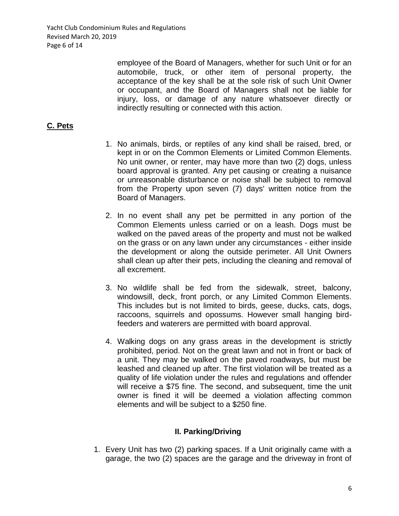Yacht Club Condominium Rules and Regulations Revised March 20, 2019 Page 6 of 14

> employee of the Board of Managers, whether for such Unit or for an automobile, truck, or other item of personal property, the acceptance of the key shall be at the sole risk of such Unit Owner or occupant, and the Board of Managers shall not be liable for injury, loss, or damage of any nature whatsoever directly or indirectly resulting or connected with this action.

## **C. Pets**

- 1. No animals, birds, or reptiles of any kind shall be raised, bred, or kept in or on the Common Elements or Limited Common Elements. No unit owner, or renter, may have more than two (2) dogs, unless board approval is granted. Any pet causing or creating a nuisance or unreasonable disturbance or noise shall be subject to removal from the Property upon seven (7) days' written notice from the Board of Managers.
- 2. In no event shall any pet be permitted in any portion of the Common Elements unless carried or on a leash. Dogs must be walked on the paved areas of the property and must not be walked on the grass or on any lawn under any circumstances - either inside the development or along the outside perimeter. All Unit Owners shall clean up after their pets, including the cleaning and removal of all excrement.
- 3. No wildlife shall be fed from the sidewalk, street, balcony, windowsill, deck, front porch, or any Limited Common Elements. This includes but is not limited to birds, geese, ducks, cats, dogs, raccoons, squirrels and opossums. However small hanging birdfeeders and waterers are permitted with board approval.
- 4. Walking dogs on any grass areas in the development is strictly prohibited, period. Not on the great lawn and not in front or back of a unit. They may be walked on the paved roadways, but must be leashed and cleaned up after. The first violation will be treated as a quality of life violation under the rules and regulations and offender will receive a \$75 fine. The second, and subsequent, time the unit owner is fined it will be deemed a violation affecting common elements and will be subject to a \$250 fine.

## **II. Parking/Driving**

1. Every Unit has two (2) parking spaces. If a Unit originally came with a garage, the two (2) spaces are the garage and the driveway in front of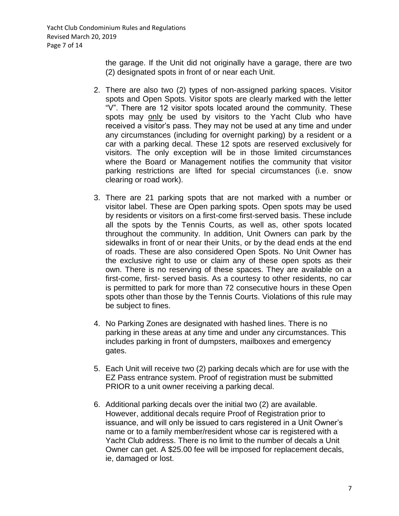the garage. If the Unit did not originally have a garage, there are two (2) designated spots in front of or near each Unit.

- 2. There are also two (2) types of non-assigned parking spaces. Visitor spots and Open Spots. Visitor spots are clearly marked with the letter "V". There are 12 visitor spots located around the community. These spots may only be used by visitors to the Yacht Club who have received a visitor's pass. They may not be used at any time and under any circumstances (including for overnight parking) by a resident or a car with a parking decal. These 12 spots are reserved exclusively for visitors. The only exception will be in those limited circumstances where the Board or Management notifies the community that visitor parking restrictions are lifted for special circumstances (i.e. snow clearing or road work).
- 3. There are 21 parking spots that are not marked with a number or visitor label. These are Open parking spots. Open spots may be used by residents or visitors on a first-come first-served basis. These include all the spots by the Tennis Courts, as well as, other spots located throughout the community. In addition, Unit Owners can park by the sidewalks in front of or near their Units, or by the dead ends at the end of roads. These are also considered Open Spots. No Unit Owner has the exclusive right to use or claim any of these open spots as their own. There is no reserving of these spaces. They are available on a first-come, first- served basis. As a courtesy to other residents, no car is permitted to park for more than 72 consecutive hours in these Open spots other than those by the Tennis Courts. Violations of this rule may be subject to fines.
- 4. No Parking Zones are designated with hashed lines. There is no parking in these areas at any time and under any circumstances. This includes parking in front of dumpsters, mailboxes and emergency gates.
- 5. Each Unit will receive two (2) parking decals which are for use with the EZ Pass entrance system. Proof of registration must be submitted PRIOR to a unit owner receiving a parking decal.
- 6. Additional parking decals over the initial two (2) are available. However, additional decals require Proof of Registration prior to issuance, and will only be issued to cars registered in a Unit Owner's name or to a family member/resident whose car is registered with a Yacht Club address. There is no limit to the number of decals a Unit Owner can get. A \$25.00 fee will be imposed for replacement decals, ie, damaged or lost.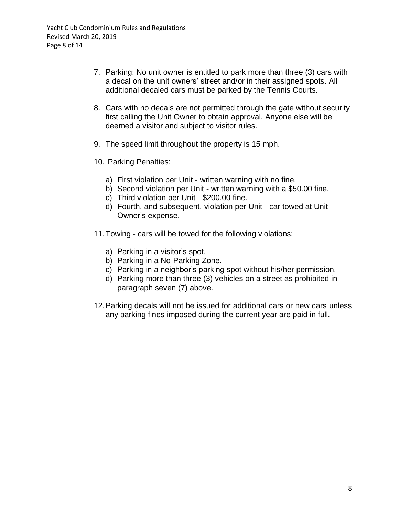- 7. Parking: No unit owner is entitled to park more than three (3) cars with a decal on the unit owners' street and/or in their assigned spots. All additional decaled cars must be parked by the Tennis Courts.
- 8. Cars with no decals are not permitted through the gate without security first calling the Unit Owner to obtain approval. Anyone else will be deemed a visitor and subject to visitor rules.
- 9. The speed limit throughout the property is 15 mph.
- 10. Parking Penalties:
	- a) First violation per Unit written warning with no fine.
	- b) Second violation per Unit written warning with a \$50.00 fine.
	- c) Third violation per Unit \$200.00 fine.
	- d) Fourth, and subsequent, violation per Unit car towed at Unit Owner's expense.
- 11.Towing cars will be towed for the following violations:
	- a) Parking in a visitor's spot.
	- b) Parking in a No-Parking Zone.
	- c) Parking in a neighbor's parking spot without his/her permission.
	- d) Parking more than three (3) vehicles on a street as prohibited in paragraph seven (7) above.
- 12.Parking decals will not be issued for additional cars or new cars unless any parking fines imposed during the current year are paid in full.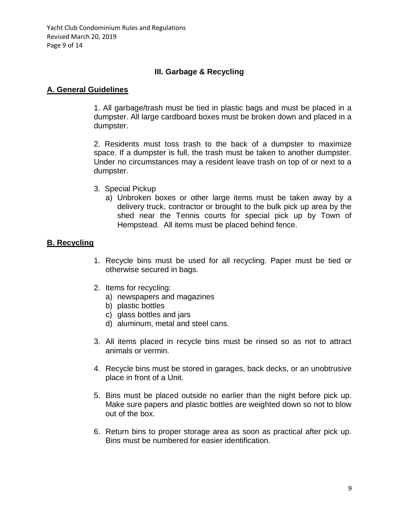Yacht Club Condominium Rules and Regulations Revised March 20, 2019 Page 9 of 14

## **III. Garbage & Recycling**

#### **A. General Guidelines**

1. All garbage/trash must be tied in plastic bags and must be placed in a dumpster. All large cardboard boxes must be broken down and placed in a dumpster.

2. Residents must toss trash to the back of a dumpster to maximize space. If a dumpster is full, the trash must be taken to another dumpster. Under no circumstances may a resident leave trash on top of or next to a dumpster.

- 3. Special Pickup
	- a) Unbroken boxes or other large items must be taken away by a delivery truck, contractor or brought to the bulk pick up area by the shed near the Tennis courts for special pick up by Town of Hempstead. All items must be placed behind fence.

## **B. Recycling**

- 1. Recycle bins must be used for all recycling. Paper must be tied or otherwise secured in bags.
- 2. Items for recycling:
	- a) newspapers and magazines
	- b) plastic bottles
	- c) glass bottles and jars
	- d) aluminum, metal and steel cans.
- 3. All items placed in recycle bins must be rinsed so as not to attract animals or vermin.
- 4. Recycle bins must be stored in garages, back decks, or an unobtrusive place in front of a Unit.
- 5. Bins must be placed outside no earlier than the night before pick up. Make sure papers and plastic bottles are weighted down so not to blow out of the box.
- 6. Return bins to proper storage area as soon as practical after pick up. Bins must be numbered for easier identification.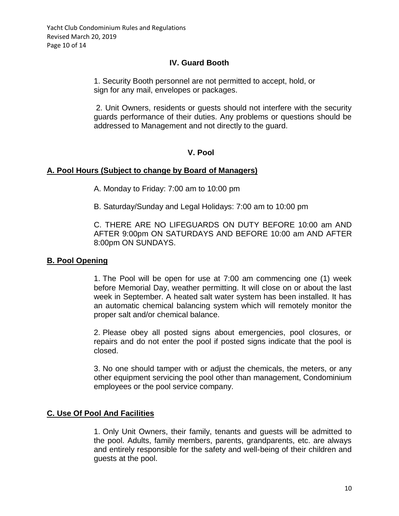## **IV. Guard Booth**

1. Security Booth personnel are not permitted to accept, hold, or sign for any mail, envelopes or packages.

2. Unit Owners, residents or guests should not interfere with the security guards performance of their duties. Any problems or questions should be addressed to Management and not directly to the guard.

#### **V. Pool**

#### **A. Pool Hours (Subject to change by Board of Managers)**

A. Monday to Friday: 7:00 am to 10:00 pm

B. Saturday/Sunday and Legal Holidays: 7:00 am to 10:00 pm

C. THERE ARE NO LIFEGUARDS ON DUTY BEFORE 10:00 am AND AFTER 9:00pm ON SATURDAYS AND BEFORE 10:00 am AND AFTER 8:00pm ON SUNDAYS.

## **B. Pool Opening**

1. The Pool will be open for use at 7:00 am commencing one (1) week before Memorial Day, weather permitting. It will close on or about the last week in September. A heated salt water system has been installed. It has an automatic chemical balancing system which will remotely monitor the proper salt and/or chemical balance.

2. Please obey all posted signs about emergencies, pool closures, or repairs and do not enter the pool if posted signs indicate that the pool is closed.

3. No one should tamper with or adjust the chemicals, the meters, or any other equipment servicing the pool other than management, Condominium employees or the pool service company.

## **C. Use Of Pool And Facilities**

1. Only Unit Owners, their family, tenants and guests will be admitted to the pool. Adults, family members, parents, grandparents, etc. are always and entirely responsible for the safety and well-being of their children and guests at the pool.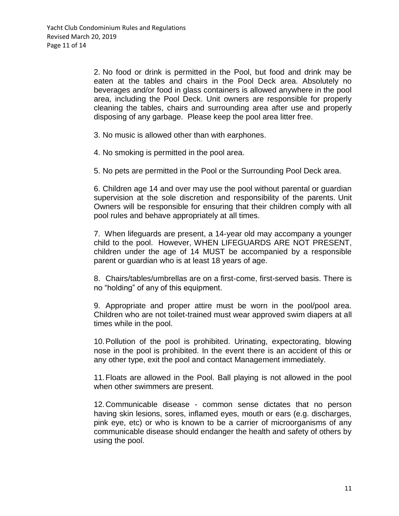2. No food or drink is permitted in the Pool, but food and drink may be eaten at the tables and chairs in the Pool Deck area. Absolutely no beverages and/or food in glass containers is allowed anywhere in the pool area, including the Pool Deck. Unit owners are responsible for properly cleaning the tables, chairs and surrounding area after use and properly disposing of any garbage. Please keep the pool area litter free.

3. No music is allowed other than with earphones.

4. No smoking is permitted in the pool area.

5. No pets are permitted in the Pool or the Surrounding Pool Deck area.

6. Children age 14 and over may use the pool without parental or guardian supervision at the sole discretion and responsibility of the parents. Unit Owners will be responsible for ensuring that their children comply with all pool rules and behave appropriately at all times.

7. When lifeguards are present, a 14-year old may accompany a younger child to the pool. However, WHEN LIFEGUARDS ARE NOT PRESENT, children under the age of 14 MUST be accompanied by a responsible parent or guardian who is at least 18 years of age.

8. Chairs/tables/umbrellas are on a first-come, first-served basis. There is no "holding" of any of this equipment.

9. Appropriate and proper attire must be worn in the pool/pool area. Children who are not toilet-trained must wear approved swim diapers at all times while in the pool.

10.Pollution of the pool is prohibited. Urinating, expectorating, blowing nose in the pool is prohibited. In the event there is an accident of this or any other type, exit the pool and contact Management immediately.

11.Floats are allowed in the Pool. Ball playing is not allowed in the pool when other swimmers are present.

12.Communicable disease - common sense dictates that no person having skin lesions, sores, inflamed eyes, mouth or ears (e.g. discharges, pink eye, etc) or who is known to be a carrier of microorganisms of any communicable disease should endanger the health and safety of others by using the pool.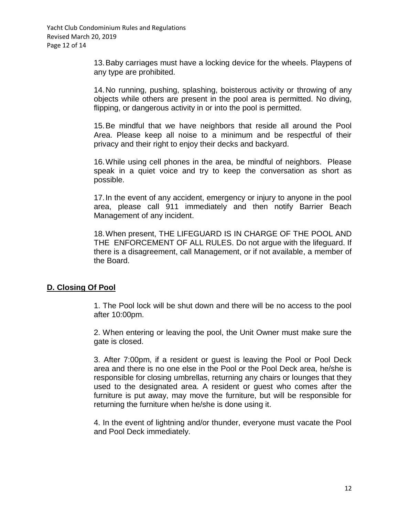13.Baby carriages must have a locking device for the wheels. Playpens of any type are prohibited.

14.No running, pushing, splashing, boisterous activity or throwing of any objects while others are present in the pool area is permitted. No diving, flipping, or dangerous activity in or into the pool is permitted.

15.Be mindful that we have neighbors that reside all around the Pool Area. Please keep all noise to a minimum and be respectful of their privacy and their right to enjoy their decks and backyard.

16.While using cell phones in the area, be mindful of neighbors. Please speak in a quiet voice and try to keep the conversation as short as possible.

17.In the event of any accident, emergency or injury to anyone in the pool area, please call 911 immediately and then notify Barrier Beach Management of any incident.

18.When present, THE LIFEGUARD IS IN CHARGE OF THE POOL AND THE ENFORCEMENT OF ALL RULES. Do not argue with the lifeguard. If there is a disagreement, call Management, or if not available, a member of the Board.

## **D. Closing Of Pool**

1. The Pool lock will be shut down and there will be no access to the pool after 10:00pm.

2. When entering or leaving the pool, the Unit Owner must make sure the gate is closed.

3. After 7:00pm, if a resident or guest is leaving the Pool or Pool Deck area and there is no one else in the Pool or the Pool Deck area, he/she is responsible for closing umbrellas, returning any chairs or lounges that they used to the designated area. A resident or guest who comes after the furniture is put away, may move the furniture, but will be responsible for returning the furniture when he/she is done using it.

4. In the event of lightning and/or thunder, everyone must vacate the Pool and Pool Deck immediately.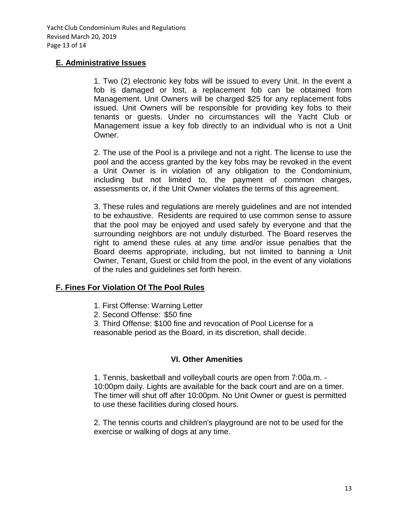## **E. Administrative Issues**

1. Two (2) electronic key fobs will be issued to every Unit. In the event a fob is damaged or lost, a replacement fob can be obtained from Management. Unit Owners will be charged \$25 for any replacement fobs issued. Unit Owners will be responsible for providing key fobs to their tenants or guests. Under no circumstances will the Yacht Club or Management issue a key fob directly to an individual who is not a Unit Owner.

2. The use of the Pool is a privilege and not a right. The license to use the pool and the access granted by the key fobs may be revoked in the event a Unit Owner is in violation of any obligation to the Condominium, including but not limited to, the payment of common charges, assessments or, if the Unit Owner violates the terms of this agreement.

3. These rules and regulations are merely guidelines and are not intended to be exhaustive. Residents are required to use common sense to assure that the pool may be enjoyed and used safely by everyone and that the surrounding neighbors are not unduly disturbed. The Board reserves the right to amend these rules at any time and/or issue penalties that the Board deems appropriate, including, but not limited to banning a Unit Owner, Tenant, Guest or child from the pool, in the event of any violations of the rules and guidelines set forth herein.

# **F. Fines For Violation Of The Pool Rules**

- 1. First Offense: Warning Letter
- 2. Second Offense: \$50 fine

3. Third Offense: \$100 fine and revocation of Pool License for a

reasonable period as the Board, in its discretion, shall decide.

## **VI. Other Amenities**

1. Tennis, basketball and volleyball courts are open from 7:00a.m. - 10:00pm daily. Lights are available for the back court and are on a timer. The timer will shut off after 10:00pm. No Unit Owner or guest is permitted to use these facilities during closed hours.

2. The tennis courts and children's playground are not to be used for the exercise or walking of dogs at any time.